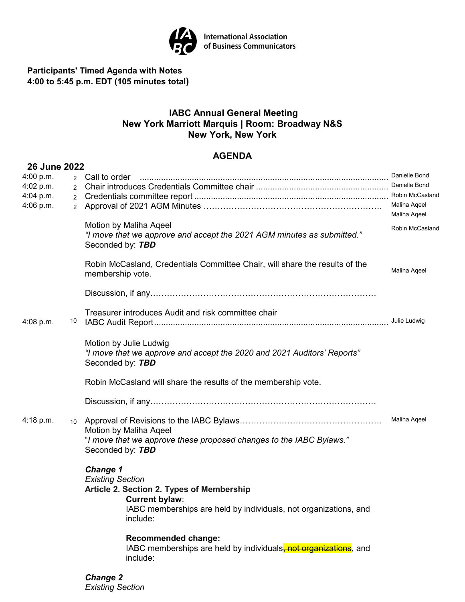

**International Association<br>of Business Communicators** 

**Participants' Timed Agenda with Notes 4:00 to 5:45 p.m. EDT (105 minutes total)**

# **IABC Annual General Meeting New York Marriott Marquis | Room: Broadway N&S New York, New York**

# **AGENDA**

| <b>26 June 2022</b> |                 |                                                                             |                 |
|---------------------|-----------------|-----------------------------------------------------------------------------|-----------------|
| 4:00 p.m.           |                 |                                                                             | Danielle Bond   |
| 4:02 p.m.           | $\overline{2}$  |                                                                             | Danielle Bond   |
| $4:04$ p.m.         | $\overline{2}$  |                                                                             | Robin McCasland |
| 4:06 p.m.           | $\overline{2}$  |                                                                             | Maliha Aqeel    |
|                     |                 |                                                                             | Maliha Aqeel    |
|                     |                 | Motion by Maliha Aqeel                                                      | Robin McCasland |
|                     |                 | "I move that we approve and accept the 2021 AGM minutes as submitted."      |                 |
|                     |                 | Seconded by: TBD                                                            |                 |
|                     |                 | Robin McCasland, Credentials Committee Chair, will share the results of the |                 |
|                     |                 | membership vote.                                                            | Maliha Ageel    |
|                     |                 |                                                                             |                 |
|                     |                 |                                                                             |                 |
|                     |                 |                                                                             |                 |
|                     |                 | Treasurer introduces Audit and risk committee chair                         |                 |
| $4:08$ p.m.         | 10              |                                                                             |                 |
|                     |                 |                                                                             |                 |
|                     |                 | Motion by Julie Ludwig                                                      |                 |
|                     |                 | "I move that we approve and accept the 2020 and 2021 Auditors' Reports"     |                 |
|                     |                 | Seconded by: TBD                                                            |                 |
|                     |                 |                                                                             |                 |
|                     |                 | Robin McCasland will share the results of the membership vote.              |                 |
|                     |                 |                                                                             |                 |
|                     |                 |                                                                             |                 |
| 4:18 p.m.           | 10 <sup>°</sup> |                                                                             | Maliha Aqeel    |
|                     |                 | Motion by Maliha Ageel                                                      |                 |
|                     |                 | "I move that we approve these proposed changes to the IABC Bylaws."         |                 |
|                     |                 | Seconded by: TBD                                                            |                 |
|                     |                 |                                                                             |                 |
|                     |                 | <b>Change 1</b>                                                             |                 |
|                     |                 | <b>Existing Section</b>                                                     |                 |
|                     |                 | Article 2. Section 2. Types of Membership                                   |                 |
|                     |                 | <b>Current bylaw:</b>                                                       |                 |
|                     |                 | IABC memberships are held by individuals, not organizations, and            |                 |
|                     |                 | include:                                                                    |                 |
|                     |                 |                                                                             |                 |
|                     |                 | <b>Recommended change:</b>                                                  |                 |
|                     |                 | IABC memberships are held by individuals, not organizations, and            |                 |
|                     |                 | include:                                                                    |                 |
|                     |                 | <b>Change 2</b>                                                             |                 |
|                     |                 |                                                                             |                 |

*Existing Section*